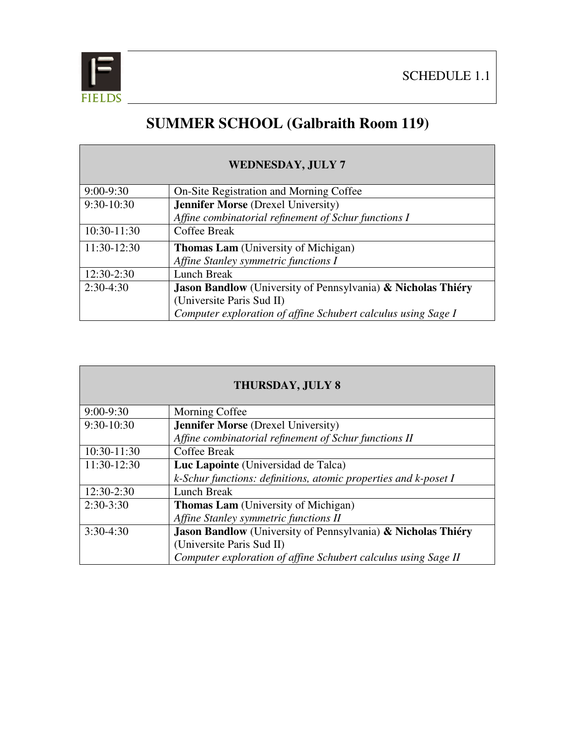

## **SUMMER SCHOOL (Galbraith Room 119)**

| <b>WEDNESDAY, JULY 7</b> |                                                                     |
|--------------------------|---------------------------------------------------------------------|
| $9:00-9:30$              | On-Site Registration and Morning Coffee                             |
| 9:30-10:30               | <b>Jennifer Morse</b> (Drexel University)                           |
|                          | Affine combinatorial refinement of Schur functions I                |
| 10:30-11:30              | <b>Coffee Break</b>                                                 |
| 11:30-12:30              | <b>Thomas Lam</b> (University of Michigan)                          |
|                          | Affine Stanley symmetric functions I                                |
| 12:30-2:30               | <b>Lunch Break</b>                                                  |
| $2:30-4:30$              | <b>Jason Bandlow</b> (University of Pennsylvania) & Nicholas Thiéry |
|                          | (Universite Paris Sud II)                                           |
|                          | Computer exploration of affine Schubert calculus using Sage I       |

| <b>THURSDAY, JULY 8</b> |                                                                     |
|-------------------------|---------------------------------------------------------------------|
| $9:00-9:30$             | Morning Coffee                                                      |
| $9:30-10:30$            | <b>Jennifer Morse</b> (Drexel University)                           |
|                         | Affine combinatorial refinement of Schur functions II               |
| $10:30-11:30$           | Coffee Break                                                        |
| 11:30-12:30             | Luc Lapointe (Universidad de Talca)                                 |
|                         | k-Schur functions: definitions, atomic properties and k-poset I     |
| 12:30-2:30              | <b>Lunch Break</b>                                                  |
| $2:30-3:30$             | <b>Thomas Lam</b> (University of Michigan)                          |
|                         | Affine Stanley symmetric functions II                               |
| $3:30-4:30$             | <b>Jason Bandlow</b> (University of Pennsylvania) & Nicholas Thiéry |
|                         | (Universite Paris Sud II)                                           |
|                         | Computer exploration of affine Schubert calculus using Sage II      |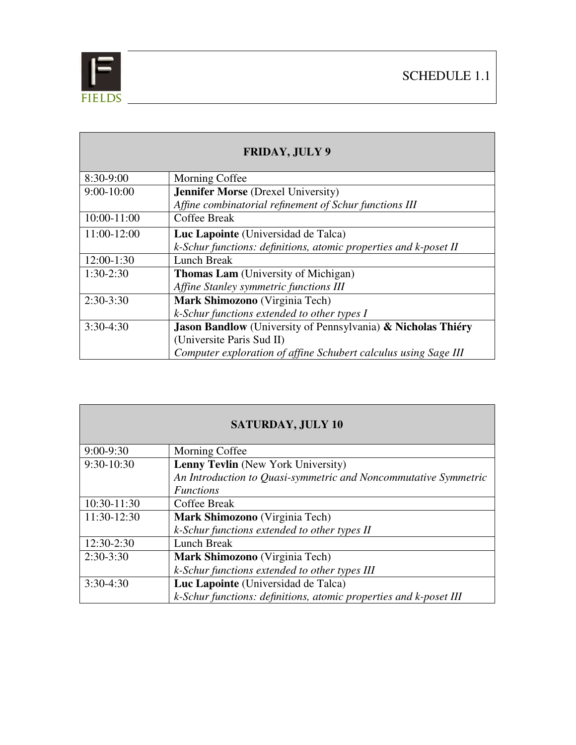

**Contract Contract** 

| <b>FRIDAY, JULY 9</b> |                                                                     |
|-----------------------|---------------------------------------------------------------------|
| 8:30-9:00             | Morning Coffee                                                      |
| $9:00-10:00$          | <b>Jennifer Morse</b> (Drexel University)                           |
|                       | Affine combinatorial refinement of Schur functions III              |
| 10:00-11:00           | Coffee Break                                                        |
| 11:00-12:00           | Luc Lapointe (Universidad de Talca)                                 |
|                       | k-Schur functions: definitions, atomic properties and k-poset II    |
| $12:00-1:30$          | Lunch Break                                                         |
| $1:30-2:30$           | <b>Thomas Lam</b> (University of Michigan)                          |
|                       | Affine Stanley symmetric functions III                              |
| $2:30-3:30$           | Mark Shimozono (Virginia Tech)                                      |
|                       | k-Schur functions extended to other types I                         |
| $3:30-4:30$           | <b>Jason Bandlow</b> (University of Pennsylvania) & Nicholas Thiéry |
|                       | (Universite Paris Sud II)                                           |
|                       | Computer exploration of affine Schubert calculus using Sage III     |

| <b>SATURDAY, JULY 10</b> |                                                                   |
|--------------------------|-------------------------------------------------------------------|
| $9:00-9:30$              | Morning Coffee                                                    |
| 9:30-10:30               | <b>Lenny Tevlin</b> (New York University)                         |
|                          | An Introduction to Quasi-symmetric and Noncommutative Symmetric   |
|                          | <i>Functions</i>                                                  |
| 10:30-11:30              | Coffee Break                                                      |
| 11:30-12:30              | Mark Shimozono (Virginia Tech)                                    |
|                          | k-Schur functions extended to other types II                      |
| $12:30-2:30$             | Lunch Break                                                       |
| $2:30-3:30$              | Mark Shimozono (Virginia Tech)                                    |
|                          | k-Schur functions extended to other types III                     |
| $3:30-4:30$              | Luc Lapointe (Universidad de Talca)                               |
|                          | k-Schur functions: definitions, atomic properties and k-poset III |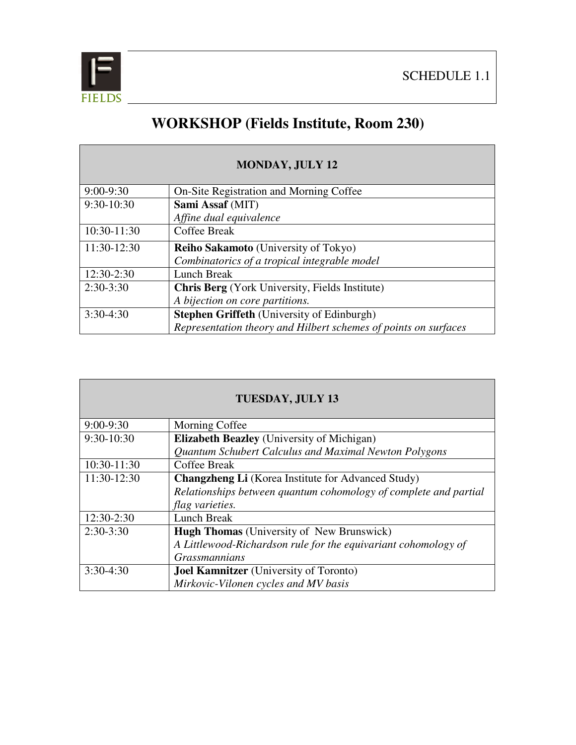

## **WORKSHOP (Fields Institute, Room 230)**

| <b>MONDAY, JULY 12</b> |                                                                 |
|------------------------|-----------------------------------------------------------------|
| $9:00-9:30$            | On-Site Registration and Morning Coffee                         |
| 9:30-10:30             | Sami Assaf (MIT)                                                |
|                        | Affine dual equivalence                                         |
| 10:30-11:30            | <b>Coffee Break</b>                                             |
| 11:30-12:30            | <b>Reiho Sakamoto</b> (University of Tokyo)                     |
|                        | Combinatorics of a tropical integrable model                    |
| 12:30-2:30             | Lunch Break                                                     |
| $2:30-3:30$            | <b>Chris Berg</b> (York University, Fields Institute)           |
|                        | A bijection on core partitions.                                 |
| $3:30-4:30$            | Stephen Griffeth (University of Edinburgh)                      |
|                        | Representation theory and Hilbert schemes of points on surfaces |

| <b>TUESDAY, JULY 13</b> |                                                                  |  |  |
|-------------------------|------------------------------------------------------------------|--|--|
|                         |                                                                  |  |  |
| $9:00-9:30$             | Morning Coffee                                                   |  |  |
| 9:30-10:30              | <b>Elizabeth Beazley</b> (University of Michigan)                |  |  |
|                         | Quantum Schubert Calculus and Maximal Newton Polygons            |  |  |
| 10:30-11:30             | <b>Coffee Break</b>                                              |  |  |
| 11:30-12:30             | <b>Changzheng Li</b> (Korea Institute for Advanced Study)        |  |  |
|                         | Relationships between quantum cohomology of complete and partial |  |  |
|                         | <i>flag varieties.</i>                                           |  |  |
| 12:30-2:30              | <b>Lunch Break</b>                                               |  |  |
| $2:30-3:30$             | <b>Hugh Thomas</b> (University of New Brunswick)                 |  |  |
|                         | A Littlewood-Richardson rule for the equivariant cohomology of   |  |  |
|                         | <b>Grassmannians</b>                                             |  |  |
| $3:30-4:30$             | <b>Joel Kamnitzer</b> (University of Toronto)                    |  |  |
|                         | Mirkovic-Vilonen cycles and MV basis                             |  |  |